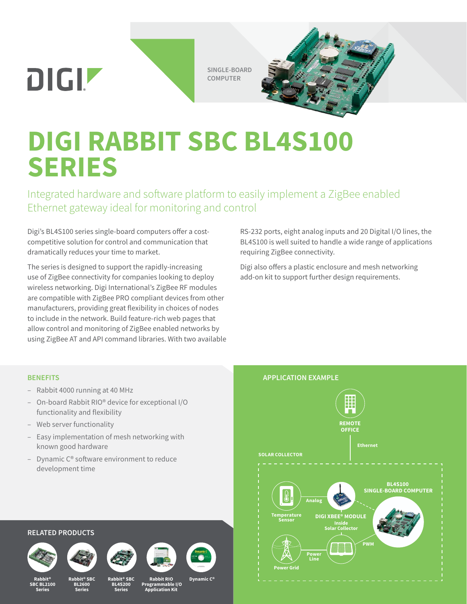DIGIZ

**SINGLE-BOARD COMPUTER**



# **DIGI RABBIT SBC BL4S100 SERIES**

Integrated hardware and software platform to easily implement a ZigBee enabled Ethernet gateway ideal for monitoring and control

Digi's BL4S100 series single-board computers offer a costcompetitive solution for control and communication that dramatically reduces your time to market.

The series is designed to support the rapidly-increasing use of ZigBee connectivity for companies looking to deploy wireless networking. Digi International's ZigBee RF modules are compatible with ZigBee PRO compliant devices from other manufacturers, providing great flexibility in choices of nodes to include in the network. Build feature-rich web pages that allow control and monitoring of ZigBee enabled networks by using ZigBee AT and API command libraries. With two available

RS-232 ports, eight analog inputs and 20 Digital I/O lines, the BL4S100 is well suited to handle a wide range of applications requiring ZigBee connectivity.

Digi also offers a plastic enclosure and mesh networking add-on kit to support further design requirements.

#### **BENEFITS**

- Rabbit 4000 running at 40 MHz
- On-board Rabbit RIO® device for exceptional I/O functionality and flexibility
- Web server functionality
- Easy implementation of mesh networking with known good hardware
- Dynamic  $C<sup>®</sup>$  software environment to reduce development time



#### **RELATED PRODUCTS**



**Rabbit® SBC BL2100 Series**



**BL2600 Series**





**Series**



**Rabbit RIO**

**Dynamic C®** 

 **Programmable I/O Application Kit**